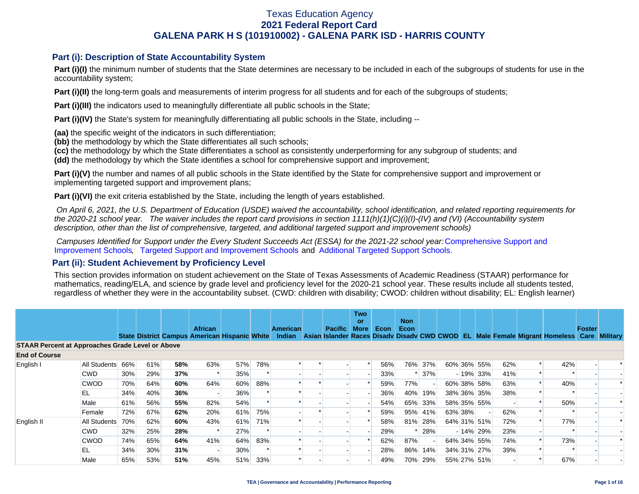#### **Part (i): Description of State Accountability System**

**Part (i)(I)** the minimum number of students that the State determines are necessary to be included in each of the subgroups of students for use in the accountability system;

**Part (i)(II)** the long-term goals and measurements of interim progress for all students and for each of the subgroups of students;

**Part (i)(III)** the indicators used to meaningfully differentiate all public schools in the State;

**Part (i)(IV)** the State's system for meaningfully differentiating all public schools in the State, including --

**(aa)** the specific weight of the indicators in such differentiation;

**(bb)** the methodology by which the State differentiates all such schools;

**(cc)** the methodology by which the State differentiates a school as consistently underperforming for any subgroup of students; and

**(dd)** the methodology by which the State identifies a school for comprehensive support and improvement;

**Part (i)(V)** the number and names of all public schools in the State identified by the State for comprehensive support and improvement or implementing targeted support and improvement plans;

**Part (i)(VI)** the exit criteria established by the State, including the length of years established.

 *On April 6, 2021, the U.S. Department of Education (USDE) waived the accountability, school identification, and related reporting requirements for the 2020-21 school year. The waiver includes the report card provisions in section 1111(h)(1)(C)(i)(I)-(IV) and (VI) (Accountability system description, other than the list of comprehensive, targeted, and additional targeted support and improvement schools)* 

*Campuses Identified for Support under the Every Student Succeeds Act (ESSA) for the 2021-22 school year:* [Comprehensive Support and](https://tea.texas.gov/sites/default/files/comprehensive_support_2021.xlsx) [Improvement Schools](https://tea.texas.gov/sites/default/files/comprehensive_support_2021.xlsx), [Targeted Support and Improvement Schools](https://tea.texas.gov/sites/default/files/targeted_support_2021.xlsx) and [Additional Targeted Support Schools.](https://tea.texas.gov/sites/default/files/additional_targeted_support_2021.xlsx)

#### **Part (ii): Student Achievement by Proficiency Level**

This section provides information on student achievement on the State of Texas Assessments of Academic Readiness (STAAR) performance for mathematics, reading/ELA, and science by grade level and proficiency level for the 2020-21 school year. These results include all students tested, regardless of whether they were in the accountability subset. (CWD: children with disability; CWOD: children without disability; EL: English learner)

|                                                         |                  |     |     |     |                                                                        |     |     |                           |                                                           | <b>Two</b><br><b>or</b> |      | <b>Non</b>  |         |             |             |     |                              |               |                      |
|---------------------------------------------------------|------------------|-----|-----|-----|------------------------------------------------------------------------|-----|-----|---------------------------|-----------------------------------------------------------|-------------------------|------|-------------|---------|-------------|-------------|-----|------------------------------|---------------|----------------------|
|                                                         |                  |     |     |     | <b>African</b><br><b>State District Campus American Hispanic White</b> |     |     | <b>American</b><br>Indian | Pacific<br>Asian Islander Races Disady Disady CWD CWOD EL | <b>More</b>             | Econ | <b>Econ</b> |         |             |             |     | Male Female Migrant Homeless | <b>Foster</b> | <b>Care Military</b> |
| <b>STAAR Percent at Approaches Grade Level or Above</b> |                  |     |     |     |                                                                        |     |     |                           |                                                           |                         |      |             |         |             |             |     |                              |               |                      |
| <b>End of Course</b>                                    |                  |     |     |     |                                                                        |     |     |                           |                                                           |                         |      |             |         |             |             |     |                              |               |                      |
| English I                                               | All Students 66% |     | 61% | 58% | 63%                                                                    | 57% | 78% |                           |                                                           |                         | 56%  |             | 76% 37% | 60% 36% 55% |             | 62% | 42%                          |               |                      |
|                                                         | <b>CWD</b>       | 30% | 29% | 37% |                                                                        | 35% |     |                           |                                                           |                         | 33%  |             | 37%     |             | $-19\%$ 33% | 41% |                              |               |                      |
|                                                         | <b>CWOD</b>      | 70% | 64% | 60% | 64%                                                                    | 60% | 88% |                           |                                                           |                         | 59%  | 77%         |         |             | 60% 38% 58% | 63% | 40%                          |               |                      |
|                                                         | 'EL              | 34% | 40% | 36% |                                                                        | 36% |     |                           |                                                           |                         | 36%  | 40%         | 19%     |             | 38% 36% 35% | 38% |                              |               |                      |
|                                                         | Male             | 61% | 56% | 55% | 82%                                                                    | 54% |     |                           |                                                           |                         | 54%  |             | 65% 33% |             | 58% 35% 55% |     | 50%                          |               |                      |
|                                                         | Female           | 72% | 67% | 62% | 20%                                                                    | 61% | 75% |                           |                                                           |                         | 59%  |             | 95% 41% | 63% 38%     |             | 62% |                              |               |                      |
| English II                                              | All Students     | 70% | 62% | 60% | 43%                                                                    | 61% | 71% |                           |                                                           |                         | 58%  |             | 81% 28% |             | 64% 31% 51% | 72% | 77%                          |               |                      |
|                                                         | <b>CWD</b>       | 32% | 25% | 28% |                                                                        | 27% |     |                           |                                                           |                         | 29%  |             | 28%     |             | $-14\%$ 29% | 23% |                              |               |                      |
|                                                         | <b>CWOD</b>      | 74% | 65% | 64% | 41%                                                                    | 64% | 83% |                           |                                                           |                         | 62%  | 87%         |         |             | 64% 34% 55% | 74% | 73%                          |               |                      |
|                                                         | EL               | 34% | 30% | 31% |                                                                        | 30% |     |                           |                                                           |                         | 28%  |             | 86% 14% |             | 34% 31% 27% | 39% |                              |               |                      |
|                                                         | Male             | 65% | 53% | 51% | 45%                                                                    | 51% | 33% |                           |                                                           |                         | 49%  | 70%         | 29%     |             | 55% 27% 51% |     | 67%                          |               |                      |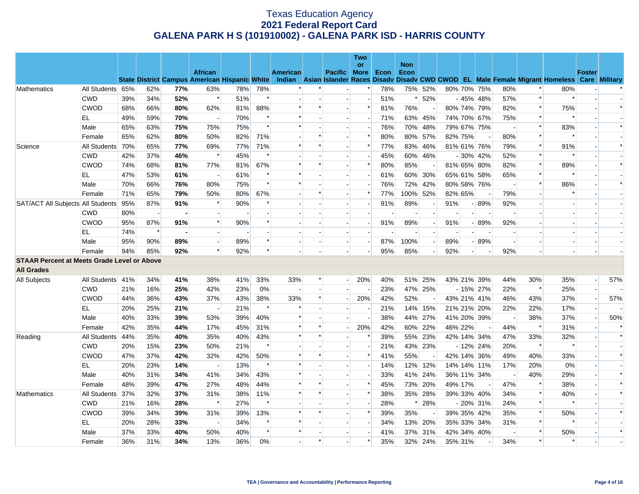|                                                                |                  |     |        |     |                          |     |        |                 |        |                | Two<br>or                |      | <b>Non</b> |                          |             |                          |                          |                                                                                                                                                |                          |                |               |        |
|----------------------------------------------------------------|------------------|-----|--------|-----|--------------------------|-----|--------|-----------------|--------|----------------|--------------------------|------|------------|--------------------------|-------------|--------------------------|--------------------------|------------------------------------------------------------------------------------------------------------------------------------------------|--------------------------|----------------|---------------|--------|
|                                                                |                  |     |        |     | <b>African</b>           |     |        | <b>American</b> |        | Pacific More   |                          | Econ | Econ       |                          |             |                          |                          |                                                                                                                                                |                          |                | <b>Foster</b> |        |
|                                                                |                  |     |        |     |                          |     |        |                 |        |                |                          |      |            |                          |             |                          |                          | State District Campus American Hispanic White Indian Asian Islander Races Disady Disady CWD CWOD EL Male Female Migrant Homeless Care Military |                          |                |               |        |
| <b>Mathematics</b>                                             | All Students 65% |     | 62%    | 77% | 63%                      | 78% | 78%    |                 |        |                | $\ast$                   | 78%  |            | 75% 52%                  | 80% 70% 75% |                          |                          | 80%                                                                                                                                            | $\ast$                   | 80%            |               |        |
|                                                                | <b>CWD</b>       | 39% | 34%    | 52% | $\ast$                   | 51% | $\ast$ |                 |        |                |                          | 51%  |            | $* 52%$                  |             |                          | $-45\%$ 48%              | 57%                                                                                                                                            | $\ast$                   |                |               |        |
|                                                                | <b>CWOD</b>      | 68% | 66%    | 80% | 62%                      | 81% | 88%    | $\ast$          | $\ast$ | п.             | $\ast$                   | 81%  | 76%        |                          | 80% 74% 79% |                          |                          | 82%                                                                                                                                            | $\ast$                   | 75%            |               | $\ast$ |
|                                                                | EL               | 49% | 59%    | 70% | $\blacksquare$           | 70% | $\ast$ | $\ast$          |        |                | $\overline{\phantom{a}}$ | 71%  |            | 63% 45%                  | 74% 70% 67% |                          |                          | 75%                                                                                                                                            | $\ast$                   | $\ast$         |               |        |
|                                                                | Male             | 65% | 63%    | 75% | 75%                      | 75% | $\ast$ | $\ast$          |        |                |                          | 76%  |            | 70% 48%                  | 79% 67% 75% |                          |                          |                                                                                                                                                | $\ast$                   | 83%            |               | $\ast$ |
|                                                                | Female           | 65% | 62%    | 80% | 50%                      | 82% | 71%    |                 |        |                | $\ast$                   | 80%  |            | 80% 57%                  | 82% 75%     |                          | $\overline{\phantom{a}}$ | 80%                                                                                                                                            | $\ast$                   |                |               |        |
| Science                                                        | All Students 70% |     | 65%    | 77% | 69%                      | 77% | 71%    | $\ast$          | $\ast$ |                | $\ast$                   | 77%  |            | 83% 46%                  | 81% 61% 76% |                          |                          | 79%                                                                                                                                            | $\ast$                   | 91%            |               | $\ast$ |
|                                                                | <b>CWD</b>       | 42% | 37%    | 46% | $\ast$                   | 45% | $\ast$ |                 |        |                |                          | 45%  |            | 60% 46%                  |             |                          | $-30\%$ 42%              | 52%                                                                                                                                            | $\ast$                   | ∗              |               |        |
|                                                                | <b>CWOD</b>      | 74% | 68%    | 81% | 77%                      | 81% | 67%    | $\ast$          | $\ast$ |                | $\ast$                   | 80%  | 85%        |                          | 81% 65% 80% |                          |                          | 82%                                                                                                                                            | $\ast$                   | 89%            |               | $\ast$ |
|                                                                | EL               | 47% | 53%    | 61% | $\blacksquare$           | 61% |        | $\ast$          |        |                |                          | 61%  |            | 60% 30%                  | 65% 61% 58% |                          |                          | 65%                                                                                                                                            | $\ast$                   |                |               |        |
|                                                                | Male             | 70% | 66%    | 76% | 80%                      | 75% | $\ast$ | $\ast$          |        |                |                          | 76%  |            | 72% 42%                  | 80% 58% 76% |                          |                          | $\overline{\phantom{a}}$                                                                                                                       | $\ast$                   | 86%            |               | $\ast$ |
|                                                                | Female           | 71% | 65%    | 79% | 50%                      | 80% | 67%    |                 | $\ast$ |                | $\ast$                   | 77%  | 100% 52%   |                          | 82% 65%     |                          |                          | 79%                                                                                                                                            | $\Box$                   | $\ast$         |               |        |
| SAT/ACT All Subjects All Students 95%                          |                  |     | 87%    | 91% | $\ast$                   | 90% |        |                 |        |                | $\overline{\phantom{a}}$ | 91%  | 89%        |                          | 91%         |                          | $-89%$                   | 92%                                                                                                                                            | $\blacksquare$           |                |               |        |
|                                                                | <b>CWD</b>       | 80% |        |     |                          |     |        |                 |        |                |                          |      |            |                          |             |                          |                          |                                                                                                                                                | $\overline{\phantom{a}}$ |                |               |        |
|                                                                | <b>CWOD</b>      | 95% | 87%    | 91% | $\ast$                   | 90% | $\ast$ |                 |        |                | $\overline{\phantom{a}}$ | 91%  | 89%        | $\blacksquare$           | 91%         |                          | $-89%$                   | 92%                                                                                                                                            | $\overline{\phantom{a}}$ |                |               |        |
|                                                                | EL               | 74% | $\ast$ |     | $\sim$                   |     |        |                 |        |                |                          |      |            |                          |             |                          |                          |                                                                                                                                                | $\blacksquare$           |                |               |        |
|                                                                | Male             | 95% | 90%    | 89% |                          | 89% | $\ast$ |                 |        |                |                          | 87%  | 100%       | $\overline{\phantom{a}}$ | 89%         |                          | $-89%$                   |                                                                                                                                                | $\overline{\phantom{a}}$ |                |               |        |
|                                                                | Female           | 94% | 85%    | 92% | $\ast$                   | 92% | $\ast$ |                 |        |                |                          | 95%  | 85%        |                          | 92%         | $\overline{\phantom{a}}$ |                          | 92%                                                                                                                                            | $\overline{a}$           | $\overline{a}$ |               |        |
|                                                                |                  |     |        |     |                          |     |        |                 |        |                |                          |      |            |                          |             |                          |                          |                                                                                                                                                |                          |                |               |        |
| <b>All Grades</b>                                              |                  |     |        |     |                          |     |        |                 |        |                |                          |      |            |                          |             |                          |                          |                                                                                                                                                |                          |                |               |        |
| All Subjects                                                   | All Students 41% |     | 34%    | 41% | 38%                      | 41% | 33%    | 33%             | $\ast$ | $\overline{a}$ | 20%                      | 40%  |            | 51% 25%                  | 43% 21% 39% |                          |                          | 44%                                                                                                                                            | 30%                      | 35%            | $\sim$        | 57%    |
|                                                                | <b>CWD</b>       | 21% | 16%    | 25% | 42%                      | 23% | 0%     | $\mathbf{r}$    |        | $\overline{a}$ | $\blacksquare$           | 23%  |            | 47% 25%                  |             |                          | $-15\%$ 27%              | 22%                                                                                                                                            | $\ast$                   | 25%            |               |        |
|                                                                | <b>CWOD</b>      | 44% | 36%    | 43% | 37%                      | 43% | 38%    | 33%             | $\ast$ |                | 20%                      | 42%  | 52%        |                          | 43% 21% 41% |                          |                          | 46%                                                                                                                                            | 43%                      | 37%            |               | 57%    |
|                                                                |                  | 20% | 25%    | 21% | $\overline{\phantom{a}}$ | 21% | $\ast$ | $\ast$          |        |                | $\overline{a}$           | 21%  |            | 14% 15%                  | 21% 21% 20% |                          |                          | 22%                                                                                                                                            | 22%                      | 17%            |               |        |
|                                                                | Male             | 40% | 33%    | 39% | 53%                      | 39% | 40%    | $\ast$          |        |                | $\overline{a}$           | 38%  |            | 44% 27%                  | 41% 20% 39% |                          |                          | $\overline{\phantom{a}}$                                                                                                                       | 38%                      | 37%            |               | 50%    |
|                                                                | Female           | 42% | 35%    | 44% | 17%                      | 45% | 31%    | $\ast$          | $\ast$ |                | 20%                      | 42%  |            | 60% 22%                  | 46% 22%     |                          | $\left  \cdot \right $   | 44%                                                                                                                                            | $\ast$                   | 31%            |               | $\ast$ |
| Reading                                                        | All Students 44% |     | 35%    | 40% | 35%                      | 40% | 43%    | $\ast$          | $\ast$ |                | ∗                        | 39%  |            | 55% 23%                  | 42% 14% 34% |                          |                          | 47%                                                                                                                                            | 33%                      | 32%            |               | $\ast$ |
| <b>STAAR Percent at Meets Grade Level or Above</b><br>EL<br>EL | <b>CWD</b>       | 20% | 15%    | 23% | 50%                      | 21% | $\ast$ |                 |        |                |                          | 21%  |            | 43% 23%                  |             |                          | $-12\%$ 24%              | 20%                                                                                                                                            | $\ast$                   | $\ast$         |               |        |
|                                                                | <b>CWOD</b>      | 47% | 37%    | 42% | 32%                      | 42% | 50%    | $\ast$          | $\ast$ |                | $\ast$                   | 41%  | 55%        |                          | 42% 14% 36% |                          |                          | 49%                                                                                                                                            | 40%                      | 33%            |               | $\ast$ |
|                                                                |                  | 20% | 23%    | 14% | $\overline{\phantom{a}}$ | 13% | $\ast$ | $\ast$          |        |                |                          | 14%  |            | 12% 12%                  | 14% 14% 11% |                          |                          | 17%                                                                                                                                            | 20%                      | 0%             |               |        |
|                                                                | Male             | 40% | 31%    | 34% | 41%                      | 34% | 43%    | $\ast$          |        |                |                          | 33%  |            | 41% 24%                  | 36% 11% 34% |                          |                          | $\sim$                                                                                                                                         | 40%                      | 29%            |               | $\ast$ |
|                                                                | Female           | 48% | 39%    | 47% | 27%                      | 48% | 44%    | $\ast$          | $\ast$ |                | $\ast$                   | 45%  |            | 73% 20%                  | 49% 17%     |                          |                          | 47%                                                                                                                                            | $\ast$                   | 38%            |               | $\ast$ |
| Mathematics                                                    | All Students 37% |     | 32%    | 37% | 31%                      | 38% | 11%    | $\ast$          | $\ast$ | $\overline{a}$ | $\ast$                   | 38%  |            | 35% 28%                  | 39% 33% 40% |                          |                          | 34%                                                                                                                                            | $\ast$                   | 40%            |               | $\ast$ |
|                                                                | <b>CWD</b>       | 21% | 16%    | 28% | $\ast$                   | 27% | $\ast$ |                 |        |                |                          | 28%  | $\ast$     | 28%                      |             |                          | $-20\%$ 31%              | 24%                                                                                                                                            | $\ast$                   |                |               |        |
|                                                                | <b>CWOD</b>      | 39% | 34%    | 39% | 31%                      | 39% | 13%    | $\ast$          | $\ast$ |                | $\ast$                   | 39%  | 35%        |                          | 39% 35% 42% |                          |                          | 35%                                                                                                                                            | $\ast$                   | 50%            |               | $\ast$ |
|                                                                | EL               | 20% | 28%    | 33% | $\overline{a}$           | 34% | $\ast$ | $\ast$          |        |                | $\overline{\phantom{a}}$ | 34%  |            | 13% 20%                  | 35% 33% 34% |                          |                          | 31%                                                                                                                                            | $\ast$                   |                |               |        |
|                                                                | Male             | 37% | 33%    | 40% | 50%                      | 40% | $\ast$ | $\ast$          |        |                |                          | 41%  |            | 37% 31%                  | 42% 34% 40% |                          |                          |                                                                                                                                                | $\ast$                   | 50%            |               | $\ast$ |
|                                                                | Female           | 36% | 31%    | 34% | 13%                      | 36% | 0%     |                 | $\ast$ |                | *                        | 35%  |            | 32% 24%                  | 35% 31%     |                          |                          | 34%                                                                                                                                            | $\ast$                   | $\ast$         |               |        |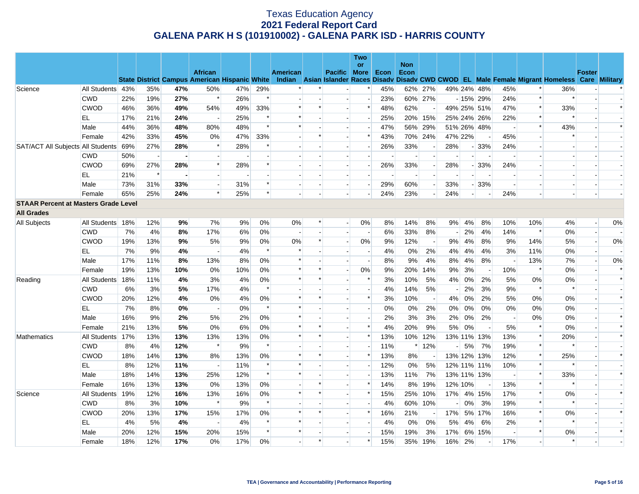| <b>Non</b><br>or<br><b>African</b><br>American<br><b>Pacific More</b><br><b>Econ</b><br>Econ                                                                                                | <b>Foster</b>                  |        |
|---------------------------------------------------------------------------------------------------------------------------------------------------------------------------------------------|--------------------------------|--------|
|                                                                                                                                                                                             |                                |        |
| <b>State District Campus American Hispanic White</b><br>Indian Asian Islander Races Disady Disady CWD CWOD EL Male Female Migrant Homeless Care Military                                    |                                |        |
| All Students 43%<br>35%<br>47%<br>50%<br>47%<br>29%<br>$\ast$<br>45%<br>62% 27%<br>49% 24% 48%<br>45%<br>$\ast$<br>Science                                                                  | 36%                            |        |
| $\ast$<br><b>CWD</b><br>22%<br>19%<br>27%<br>$\ast$<br>26%<br>23%<br>60% 27%<br>$-15%$ 29%<br>24%<br>$\ast$<br>$\overline{\phantom{a}}$                                                     |                                |        |
| $\ast$<br>$\ast$<br>62%<br>$\ast$<br><b>CWOD</b><br>46%<br>36%<br>49%<br>54%<br>49%<br>33%<br>$\ast$<br>48%<br>49% 25% 51%<br>47%<br>$\overline{a}$                                         | 33%                            | $\ast$ |
| 25%<br>$\ast$<br>25%<br>20% 15%<br>$\ast$<br>EL<br>17%<br>21%<br>24%<br>$\ast$<br>25% 24% 26%<br>22%<br>$\blacksquare$                                                                      | $\ast$                         |        |
| $\ast$<br>$\ast$<br>44%<br>36%<br>48%<br>80%<br>48%<br>$\ast$<br>47%<br>56% 29%<br>Male<br>51% 26% 48%                                                                                      | 43%                            | $\ast$ |
| 70% 24%<br>47% 22%<br>42%<br>33%<br>45%<br>0%<br>47%<br>33%<br>$\ast$<br>43%<br>45%<br>Female<br>$\sim$                                                                                     |                                |        |
| 28%<br>SAT/ACT All Subjects All Students 69%<br>27%<br>$\ast$<br>28%<br>26%<br>33%<br>$-33%$<br>28%<br>24%<br>$\overline{\phantom{a}}$<br>$\overline{\phantom{a}}$                          |                                |        |
| <b>CWD</b><br>50%<br>$\sim$<br>$\overline{\phantom{a}}$<br>$\blacksquare$<br>$\blacksquare$                                                                                                 |                                |        |
| $\ast$<br><b>CWOD</b><br>69%<br>27%<br>28%<br>28%<br>26%<br>33%<br>28%<br>24%<br>$-33%$<br>$\overline{a}$<br>$\overline{\phantom{a}}$<br>$\overline{a}$                                     |                                |        |
| EL<br>21%<br>$\ast$<br>$\overline{\phantom{a}}$                                                                                                                                             |                                |        |
| 33%<br>29%<br>60%<br>Male<br>73%<br>31%<br>31%<br>33%<br>$-33%$<br>$\overline{\phantom{a}}$<br>$\overline{a}$<br>$\overline{\phantom{a}}$<br>$\left  - \right $                             |                                |        |
| $\ast$<br>24%<br>25%<br>24%<br>65%<br>25%<br>24%<br>23%<br>24%<br>Female                                                                                                                    |                                |        |
| <b>STAAR Percent at Masters Grade Level</b>                                                                                                                                                 |                                |        |
| <b>All Grades</b>                                                                                                                                                                           |                                |        |
| All Students 18%<br>12%<br>7%<br>9%<br>0%<br>0%<br>0%<br>14%<br>4%<br>10%<br>10%<br>All Subjects<br>9%<br>$\ast$<br>8%<br>8%<br>$9\%$<br>8%<br>$\overline{a}$                               | 4%<br>$\overline{\phantom{a}}$ | 0%     |
| <b>CWD</b><br>7%<br>4%<br>8%<br>17%<br>6%<br>0%<br>6%<br>33%<br>8%<br>2%<br>14%<br>$\ast$<br>4%<br>$\overline{a}$<br>$\overline{\phantom{a}}$<br>$\overline{a}$<br>$\overline{\phantom{a}}$ | 0%<br>$\overline{\phantom{a}}$ |        |
| <b>CWOD</b><br>5%<br>$\ast$<br>$0\%$<br>12%<br>4%<br>19%<br>13%<br>9%<br>9%<br>0%<br>0%<br>9%<br>9%<br>8%<br>9%<br>14%<br>$\overline{\phantom{a}}$                                          | 5%                             | $0\%$  |
| EL.<br>7%<br>9%<br>$\ast$<br>$\ast$<br>4%<br>4%<br>4%<br>$0\%$<br>2%<br>4%<br>4%<br>4%<br>3%<br>11%<br>$\overline{\phantom{a}}$<br>$\sim$                                                   | 0%<br>$\overline{a}$           |        |
| Male<br>17%<br>11%<br>8%<br>8%<br>$0\%$<br>$\ast$<br>8%<br>9%<br>4%<br>8%<br>4%<br>8%<br>13%<br>13%<br>$\overline{\phantom{a}}$<br>$\overline{a}$                                           | 7%<br>$\sim$                   | $0\%$  |
| $0\%$<br>$\ast$<br>0%<br>10%<br>$\ast$<br>19%<br>13%<br>10%<br>0%<br>10%<br>9%<br>20%<br>14%<br>9%<br>3%<br>Female<br>$\overline{a}$<br>$\left  - \right $                                  | 0%                             | $\ast$ |
| 4%<br>3%<br>4%<br>0%<br>$\ast$<br>$\ast$<br>$\ast$<br>3%<br>10%<br>5%<br>0%<br>2%<br>5%<br>0%<br>All Students<br>18%<br>11%<br>4%<br>Reading                                                | 0%                             | $\ast$ |
| 17%<br>9%<br>$\ast$<br><b>CWD</b><br>3%<br>5%<br>$\ast$<br>4%<br>14%<br>5%<br>2%<br>3%<br>6%<br>4%<br>- 1                                                                                   | $\ast$                         |        |
| $\ast$<br>$\ast$<br><b>CWOD</b><br>20%<br>12%<br>4%<br>0%<br>0%<br>$\ast$<br>10%<br>0%<br>2%<br>5%<br>0%<br>4%<br>3%<br>4%<br>$\overline{\phantom{a}}$                                      | 0%                             | $\ast$ |
| EL<br>7%<br>0%<br>0%<br>$\ast$<br>$\ast$<br>0%<br>2%<br>$0\%$<br>0%<br>0%<br>0%<br>8%<br>$0\%$<br>$0\%$<br>$\overline{\phantom{a}}$<br>$\overline{\phantom{a}}$                             | 0%                             |        |
| 9%<br>0%<br>$\ast$<br>3%<br>0%<br>Male<br>16%<br>2%<br>5%<br>2%<br>2%<br>3%<br>2%<br>0%<br>2%<br>$\overline{a}$                                                                             | 0%                             | $\ast$ |
| 5%<br>0%<br>20%<br>9%<br>0%<br>5%<br>21%<br>13%<br>$0\%$<br>6%<br>$\ast$<br>$\ast$<br>$\ast$<br>4%<br>5%<br>$\ast$<br>Female<br>$\sim$<br>$\left  - \right $                                | 0%                             | $\ast$ |
| $\left\vert \ast\right\vert$<br>0%<br>$\ast$<br>$\ast$<br>$\ast$<br>All Students 17%<br>13%<br>13%<br>13%<br>13%<br>10% 12%<br>13% 11% 13%<br>13%<br>Mathematics<br>13%                     | 20%                            | $\ast$ |
| $\ast$<br>$\ast$<br>$\ast$<br><b>CWD</b><br>8%<br>4%<br>12%<br>9%<br>11%<br>$*12%$<br>5%<br>7%<br>19%<br>$-1$                                                                               | $\ast$                         |        |
| <b>CWOD</b><br>13%<br>13%<br>0%<br>$\ast$<br>13%<br>8%<br>$\ast$<br>18%<br>14%<br>8%<br>13% 12% 13%<br>12%<br>$\overline{a}$                                                                | 25%                            | $\ast$ |
| $\ast$<br>EL<br>12%<br>11%<br>11%<br>12%<br>$0\%$<br>5%<br>10%<br>8%<br>12% 11% 11%<br>$\blacksquare$                                                                                       |                                |        |
| 25%<br>$\ast$<br>7%<br>$\ast$<br>Male<br>18%<br>14%<br>13%<br>12%<br>$\ast$<br>13%<br>11%<br>13% 11% 13%<br>$\sim$<br>$\overline{a}$                                                        | 33%                            | $\ast$ |
| $\ast$<br>$\ast$<br>13%<br>0%<br>13%<br>0%<br>$\ast$<br>14%<br>8%<br>19%<br>12% 10%<br>13%<br>Female<br>16%<br>13%<br>$\overline{a}$                                                        | $\ast$                         |        |
| 0%<br>$\ast$<br>$\ast$<br>$\ast$<br>$\ast$<br>All Students<br>19%<br>12%<br>16%<br>13%<br>16%<br>15%<br>25%<br>10%<br>17%<br>4% 15%<br>17%<br>Science<br>$\overline{a}$                     | 0%                             | $\ast$ |
| $\ast$<br>$\ast$<br>$\ast$<br><b>CWD</b><br>8%<br>3%<br>10%<br>9%<br>4%<br>60% 10%<br>$0\%$<br>3%<br>19%                                                                                    |                                |        |
| $\ast$<br>$\ast$<br><b>CWOD</b><br>20%<br>13%<br>17%<br>15%<br>17%<br>0%<br>$\ast$<br>$\ast$<br>16%<br>21%<br>17%<br>5% 17%<br>16%                                                          | 0%                             | $\ast$ |
| 0%<br>$\ast$<br>EL<br>4%<br>5%<br>4%<br>4%<br>$\ast$<br>$\ast$<br>4%<br>0%<br>5%<br>4%<br>6%<br>2%<br>$\overline{\phantom{a}}$<br>$\overline{a}$<br>$\overline{\phantom{a}}$                | $\ast$                         |        |
| $\ast$<br>$\ast$<br>15%<br>15%<br>$\ast$<br>3%<br>17%<br>6% 15%<br>Male<br>20%<br>12%<br>20%<br>15%<br>19%                                                                                  | 0%                             | $\ast$ |
| $\ast$<br>$\ast$<br>18%<br>12%<br>17%<br>0%<br>17%<br>$0\%$<br>15%<br>19%<br>16%<br>2%<br>17%<br>35%<br>Female<br>$\overline{\phantom{a}}$                                                  | $\ast$                         |        |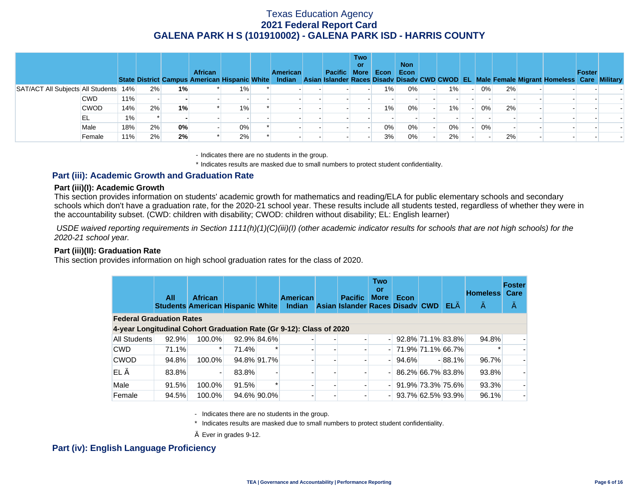|                                       |             |     |    |    | <b>African</b> |       | <b>American</b> | Pacific More Econ | <b>Two</b><br>or |       | <b>Non</b><br>Econ |    |           |       |    | State District Campus American Hispanic White Indian Asian Islander Races Disady Disady CWD CWOD EL Male Female Migrant Homeless Care Military | Foster |  |
|---------------------------------------|-------------|-----|----|----|----------------|-------|-----------------|-------------------|------------------|-------|--------------------|----|-----------|-------|----|------------------------------------------------------------------------------------------------------------------------------------------------|--------|--|
| SAT/ACT All Subjects All Students 14% |             |     | 2% | 1% |                | $1\%$ |                 |                   |                  | $1\%$ | 0%                 | 1% | $-1$      | $0\%$ | 2% |                                                                                                                                                |        |  |
|                                       | <b>CWD</b>  | 11% |    |    |                |       |                 |                   |                  |       |                    |    |           |       |    |                                                                                                                                                |        |  |
|                                       | <b>CWOD</b> | 14% | 2% | 1% |                | 1%    |                 |                   |                  | $1\%$ | 0%                 | 1% | $\sim$ 1. | 0%    | 2% |                                                                                                                                                |        |  |
|                                       | EL          | 1%  |    |    |                |       |                 |                   |                  |       |                    |    |           |       |    |                                                                                                                                                |        |  |
|                                       | Male        | 18% | 2% | 0% |                | 0%    |                 |                   |                  | $0\%$ | $0\%$              | 0% | $-1$      | 0%    |    |                                                                                                                                                |        |  |
|                                       | Female      | 11% | 2% | 2% |                | 2%    |                 |                   |                  | 3%    | 0%                 | 2% |           |       | 2% |                                                                                                                                                |        |  |

- Indicates there are no students in the group.

\* Indicates results are masked due to small numbers to protect student confidentiality.

### **Part (iii): Academic Growth and Graduation Rate**

#### **Part (iii)(I): Academic Growth**

This section provides information on students' academic growth for mathematics and reading/ELA for public elementary schools and secondary schools which don't have a graduation rate, for the 2020-21 school year. These results include all students tested, regardless of whether they were in the accountability subset. (CWD: children with disability; CWOD: children without disability; EL: English learner)

 *USDE waived reporting requirements in Section 1111(h)(1)(C)(iii)(I) (other academic indicator results for schools that are not high schools) for the 2020-21 school year.* 

#### **Part (iii)(II): Graduation Rate**

This section provides information on high school graduation rates for the class of 2020.

|                                                                     | All   | <b>African</b> |       |             | <b>American</b><br>Students American Hispanic White Indian Asian Islander Races Disady CWD |  | <b>Pacific</b> | <b>Two</b><br>or<br><b>More</b> | Econ                  |  | $EL \diamondsuit$ | <b>Homeless</b><br>$\Leftrightarrow$ | <b>Foster</b><br>Care<br>$\Leftrightarrow$ |  |
|---------------------------------------------------------------------|-------|----------------|-------|-------------|--------------------------------------------------------------------------------------------|--|----------------|---------------------------------|-----------------------|--|-------------------|--------------------------------------|--------------------------------------------|--|
| <b>Federal Graduation Rates</b>                                     |       |                |       |             |                                                                                            |  |                |                                 |                       |  |                   |                                      |                                            |  |
| 4-year Longitudinal Cohort Graduation Rate (Gr 9-12): Class of 2020 |       |                |       |             |                                                                                            |  |                |                                 |                       |  |                   |                                      |                                            |  |
| All Students                                                        | 92.9% | 100.0%         |       | 92.9% 84.6% |                                                                                            |  |                |                                 | $-$ 92.8% 71.1% 83.8% |  |                   | 94.8%                                |                                            |  |
| <b>CWD</b>                                                          | 71.1% |                | 71.4% |             |                                                                                            |  |                |                                 | $-$ 71.9% 71.1% 66.7% |  |                   |                                      |                                            |  |
| <b>CWOD</b>                                                         | 94.8% | 100.0%         |       | 94.8% 91.7% |                                                                                            |  |                |                                 | 94.6%                 |  | $-88.1%$          | 96.7%                                |                                            |  |
| $EL \diamondsuit$                                                   | 83.8% |                | 83.8% |             |                                                                                            |  |                |                                 | $-$ 86.2% 66.7% 83.8% |  |                   | 93.8%                                |                                            |  |
| Male                                                                | 91.5% | 100.0%         | 91.5% |             |                                                                                            |  |                |                                 | 91.9% 73.3% 75.6%     |  |                   | 93.3%                                |                                            |  |
| Female                                                              | 94.5% | 100.0%         |       | 94.6% 90.0% |                                                                                            |  |                |                                 | 93.7% 62.5% 93.9%     |  |                   | 96.1%                                |                                            |  |

- Indicates there are no students in the group.

\* Indicates results are masked due to small numbers to protect student confidentiality.

 $\diamond$  Ever in grades 9-12.

### **Part (iv): English Language Proficiency**